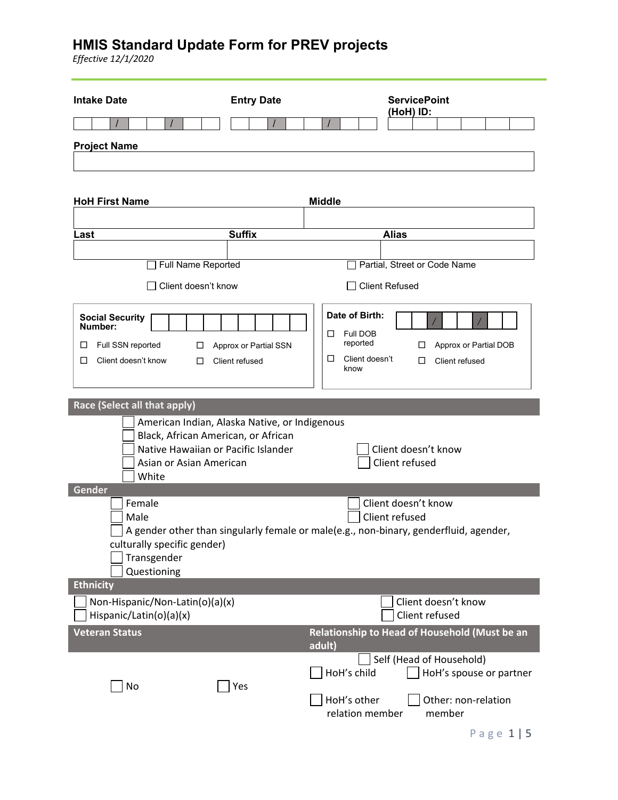*Effective 12/1/2020*

| <b>Intake Date</b>                                                                                                                                                        | <b>Entry Date</b>                       |                                                                            | (HoH) ID:                             | <b>ServicePoint</b>                   |        |                |                                                |  |
|---------------------------------------------------------------------------------------------------------------------------------------------------------------------------|-----------------------------------------|----------------------------------------------------------------------------|---------------------------------------|---------------------------------------|--------|----------------|------------------------------------------------|--|
|                                                                                                                                                                           |                                         |                                                                            |                                       |                                       |        |                |                                                |  |
| <b>Project Name</b>                                                                                                                                                       |                                         |                                                                            |                                       |                                       |        |                |                                                |  |
| <b>HoH First Name</b>                                                                                                                                                     |                                         | <b>Middle</b>                                                              |                                       |                                       |        |                |                                                |  |
| Last                                                                                                                                                                      | <b>Suffix</b>                           |                                                                            | <b>Alias</b>                          |                                       |        |                |                                                |  |
|                                                                                                                                                                           |                                         |                                                                            |                                       |                                       |        |                |                                                |  |
| <b>Full Name Reported</b>                                                                                                                                                 |                                         |                                                                            | Partial, Street or Code Name          |                                       |        |                |                                                |  |
| □ Client doesn't know                                                                                                                                                     |                                         |                                                                            | <b>Client Refused</b>                 |                                       |        |                |                                                |  |
| <b>Social Security</b><br>Number:<br>Full SSN reported<br>□<br>ப<br>Client doesn't know<br>□<br>ப                                                                         | Approx or Partial SSN<br>Client refused | Date of Birth:<br>Full DOB<br>□<br>reported<br>□<br>Client doesn't<br>know |                                       | ப<br>□                                |        | Client refused | Approx or Partial DOB                          |  |
| Race (Select all that apply)                                                                                                                                              |                                         |                                                                            |                                       |                                       |        |                |                                                |  |
| American Indian, Alaska Native, or Indigenous<br>Black, African American, or African<br>Native Hawaiian or Pacific Islander<br>Asian or Asian American<br>White<br>Gender |                                         |                                                                            | Client doesn't know<br>Client refused |                                       |        |                |                                                |  |
| Female<br>Male<br>A gender other than singularly female or male(e.g., non-binary, genderfluid, agender,<br>culturally specific gender)<br>Transgender<br>Questioning      |                                         |                                                                            | Client doesn't know<br>Client refused |                                       |        |                |                                                |  |
| <b>Ethnicity</b>                                                                                                                                                          |                                         |                                                                            |                                       |                                       |        |                |                                                |  |
| Non-Hispanic/Non-Latin(o)(a)(x)<br>Hispanic/Latin(o)(a)(x)                                                                                                                |                                         |                                                                            |                                       | Client doesn't know<br>Client refused |        |                |                                                |  |
| <b>Veteran Status</b>                                                                                                                                                     |                                         | Relationship to Head of Household (Must be an<br>adult)                    |                                       |                                       |        |                |                                                |  |
| No                                                                                                                                                                        | Yes                                     | HoH's child<br>HoH's other<br>relation member                              | Self (Head of Household)              |                                       | member |                | HoH's spouse or partner<br>Other: non-relation |  |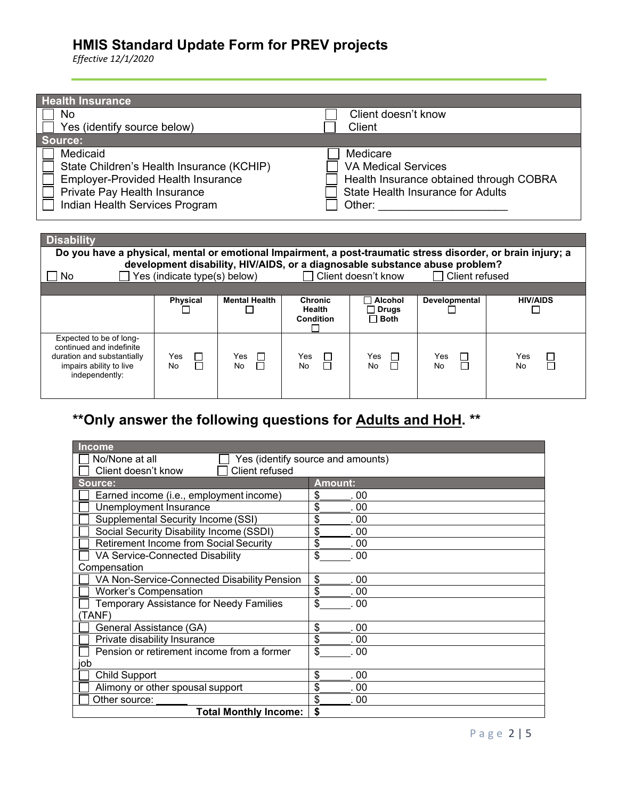*Effective 12/1/2020*

| <b>Health Insurance</b>                                                                                                                                              |                                                                                                                                         |
|----------------------------------------------------------------------------------------------------------------------------------------------------------------------|-----------------------------------------------------------------------------------------------------------------------------------------|
| No                                                                                                                                                                   | Client doesn't know                                                                                                                     |
| Yes (identify source below)                                                                                                                                          | Client                                                                                                                                  |
| Source:                                                                                                                                                              |                                                                                                                                         |
| Medicaid<br>State Children's Health Insurance (KCHIP)<br><b>Employer-Provided Health Insurance</b><br>Private Pay Health Insurance<br>Indian Health Services Program | Medicare<br><b>VA Medical Services</b><br>Health Insurance obtained through COBRA<br><b>State Health Insurance for Adults</b><br>Other: |

| <b>Disability</b>                                                                                                              |                              |                           |                                                     |                                                                   |                                                                                               |                               |
|--------------------------------------------------------------------------------------------------------------------------------|------------------------------|---------------------------|-----------------------------------------------------|-------------------------------------------------------------------|-----------------------------------------------------------------------------------------------|-------------------------------|
| Do you have a physical, mental or emotional Impairment, a post-traumatic stress disorder, or brain injury; a                   |                              |                           |                                                     |                                                                   |                                                                                               |                               |
| No.                                                                                                                            | Yes (indicate type(s) below) |                           |                                                     | $\Box$ Client doesn't know                                        | development disability, HIV/AIDS, or a diagnosable substance abuse problem?<br>Client refused |                               |
|                                                                                                                                |                              |                           |                                                     |                                                                   |                                                                                               |                               |
|                                                                                                                                | <b>Physical</b>              | <b>Mental Health</b>      | <b>Chronic</b><br><b>Health</b><br><b>Condition</b> | $\sqcap$ Alcohol<br><b>Drugs</b><br>$\blacksquare$<br>$\Box$ Both | <b>Developmental</b>                                                                          | <b>HIV/AIDS</b>               |
| Expected to be of long-<br>continued and indefinite<br>duration and substantially<br>impairs ability to live<br>independently: | Yes<br>$\Box$<br>⊓<br>No     | Yes<br>$\Box$<br>П<br>No. | $\mathbb{R}$<br>Yes<br>П<br><b>No</b>               | Yes<br><b>No</b>                                                  | Yes<br>П<br>No                                                                                | $\Box$<br>Yes<br>$\Box$<br>No |

# **\*\*Only answer the following questions for Adults and HoH. \*\***

| <b>Income</b>                                       |                |
|-----------------------------------------------------|----------------|
| No/None at all<br>Yes (identify source and amounts) |                |
| Client refused<br>Client doesn't know               |                |
| Source:                                             | <b>Amount:</b> |
| Earned income (i.e., employment income)             | \$<br>00       |
| Unemployment Insurance                              | \$<br>00       |
| Supplemental Security Income (SSI)                  | \$<br>00       |
| Social Security Disability Income (SSDI)            | \$<br>-00      |
| <b>Retirement Income from Social Security</b>       | \$<br>. 00     |
| VA Service-Connected Disability                     | \$<br>00       |
| Compensation                                        |                |
| VA Non-Service-Connected Disability Pension         | \$<br>. 00     |
| <b>Worker's Compensation</b>                        | \$<br>. 00     |
| <b>Temporary Assistance for Needy Families</b>      | \$<br>00       |
| (TANF)                                              |                |
| General Assistance (GA)                             | \$<br>. 00     |
| Private disability Insurance                        | \$<br>00       |
| Pension or retirement income from a former          | \$<br>-00      |
| job                                                 |                |
| <b>Child Support</b>                                | \$<br>00       |
| Alimony or other spousal support                    | \$<br>00       |
| Other source:                                       | \$<br>00       |
| <b>Total Monthly Income:</b>                        | \$             |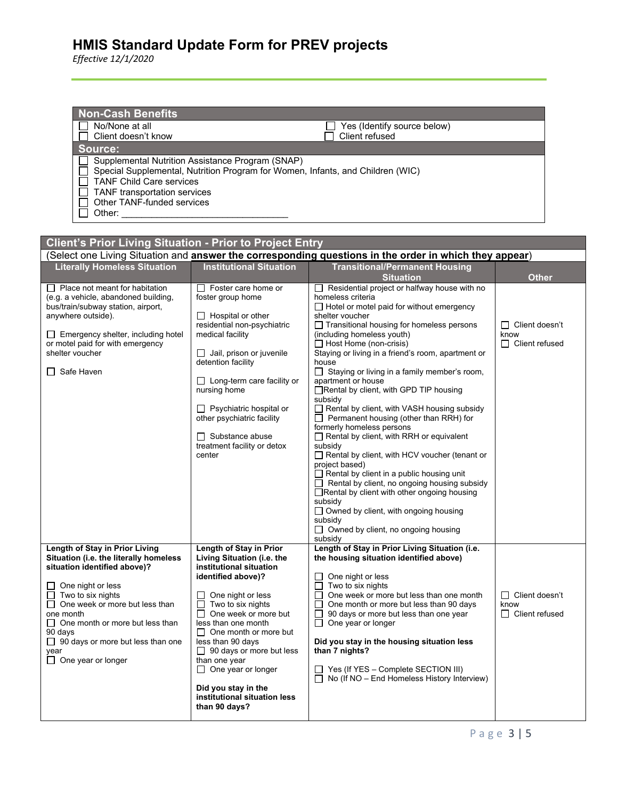*Effective 12/1/2020*

| <b>Non-Cash Benefits</b><br>No/None at all<br>Client doesn't know                                                   |                                                                                                                                    | Yes (Identify source below)<br>Client refused                                                                         |       |
|---------------------------------------------------------------------------------------------------------------------|------------------------------------------------------------------------------------------------------------------------------------|-----------------------------------------------------------------------------------------------------------------------|-------|
| Source:                                                                                                             |                                                                                                                                    |                                                                                                                       |       |
| <b>TANF Child Care services</b><br><b>TANF</b> transportation services<br>Other TANF-funded services<br>Other:      | Supplemental Nutrition Assistance Program (SNAP)<br>Special Supplemental, Nutrition Program for Women, Infants, and Children (WIC) |                                                                                                                       |       |
| <b>Client's Prior Living Situation - Prior to Project Entry</b>                                                     |                                                                                                                                    |                                                                                                                       |       |
|                                                                                                                     |                                                                                                                                    | (Select one Living Situation and answer the corresponding questions in the order in which they appear)                |       |
| <b>Literally Homeless Situation</b>                                                                                 | <b>Institutional Situation</b>                                                                                                     | <b>Transitional/Permanent Housing</b><br><b>Situation</b>                                                             | Other |
| $\Box$ Place not meant for habitation<br>(e.g. a vehicle, abandoned building,<br>bus/train/subway station, airport, | Foster care home or<br>foster group home                                                                                           | Residential project or halfway house with no<br>homeless criteria<br>$\Box$ Hotel or motel paid for without emergency |       |
|                                                                                                                     |                                                                                                                                    |                                                                                                                       |       |

| bus/lialil/subway station, aliport,<br>anywhere outside). | $\Box$ Hospital or other                                   | $\Box$ True of Trible paid for without childigency<br>shelter voucher |                       |
|-----------------------------------------------------------|------------------------------------------------------------|-----------------------------------------------------------------------|-----------------------|
|                                                           | residential non-psychiatric                                | □ Transitional housing for homeless persons                           | $\Box$ Client doesn't |
| $\Box$ Emergency shelter, including hotel                 | medical facility                                           | (including homeless youth)                                            | know                  |
| or motel paid for with emergency                          |                                                            | $\Box$ Host Home (non-crisis)                                         | $\Box$ Client refused |
| shelter voucher                                           | Jail, prison or juvenile                                   | Staying or living in a friend's room, apartment or                    |                       |
|                                                           | detention facility                                         | house                                                                 |                       |
| □ Safe Haven                                              |                                                            | $\Box$ Staying or living in a family member's room,                   |                       |
|                                                           | $\Box$ Long-term care facility or                          | apartment or house                                                    |                       |
|                                                           | nursing home                                               | □Rental by client, with GPD TIP housing                               |                       |
|                                                           |                                                            | subsidy                                                               |                       |
|                                                           |                                                            |                                                                       |                       |
|                                                           | Psychiatric hospital or<br>ப<br>other psychiatric facility | Rental by client, with VASH housing subsidy                           |                       |
|                                                           |                                                            | $\Box$ Permanent housing (other than RRH) for                         |                       |
|                                                           |                                                            | formerly homeless persons                                             |                       |
|                                                           | $\Box$ Substance abuse                                     | $\Box$ Rental by client, with RRH or equivalent                       |                       |
|                                                           | treatment facility or detox                                | subsidy                                                               |                       |
|                                                           | center                                                     | Rental by client, with HCV voucher (tenant or                         |                       |
|                                                           |                                                            | project based)                                                        |                       |
|                                                           |                                                            | $\Box$ Rental by client in a public housing unit                      |                       |
|                                                           |                                                            | $\Box$ Rental by client, no ongoing housing subsidy                   |                       |
|                                                           |                                                            | □Rental by client with other ongoing housing                          |                       |
|                                                           |                                                            | subsidy                                                               |                       |
|                                                           |                                                            | $\Box$ Owned by client, with ongoing housing                          |                       |
|                                                           |                                                            | subsidy                                                               |                       |
|                                                           |                                                            | □ Owned by client, no ongoing housing                                 |                       |
|                                                           |                                                            | subsidy                                                               |                       |
| Length of Stay in Prior Living                            | Length of Stay in Prior                                    | Length of Stay in Prior Living Situation (i.e.                        |                       |
| Situation (i.e. the literally homeless                    | Living Situation (i.e. the                                 | the housing situation identified above)                               |                       |
| situation identified above)?                              | institutional situation                                    |                                                                       |                       |
|                                                           | identified above)?                                         | One night or less                                                     |                       |
| $\Box$ One night or less                                  |                                                            | Two to six nights                                                     |                       |
| Two to six nights                                         | One night or less                                          | One week or more but less than one month                              | $\Box$ Client doesn't |
| $\Box$ One week or more but less than                     | Two to six nights                                          | One month or more but less than 90 days                               | know                  |
| one month                                                 | One week or more but                                       | 90 days or more but less than one year<br>ΙI                          | $\Box$ Client refused |
| $\Box$ One month or more but less than                    | less than one month                                        | One year or longer<br>П                                               |                       |
| 90 days                                                   | One month or more but<br>Ш                                 |                                                                       |                       |
| $\Box$ 90 days or more but less than one                  | less than 90 days                                          | Did you stay in the housing situation less                            |                       |
| year                                                      | $\Box$ 90 days or more but less                            | than 7 nights?                                                        |                       |
| $\Box$ One year or longer                                 | than one year                                              |                                                                       |                       |
|                                                           | $\Box$ One year or longer                                  | $\Box$ Yes (If YES – Complete SECTION III)                            |                       |
|                                                           |                                                            | $\Box$ No (If NO – End Homeless History Interview)                    |                       |
|                                                           | Did you stay in the                                        |                                                                       |                       |
|                                                           | institutional situation less                               |                                                                       |                       |
|                                                           | than 90 days?                                              |                                                                       |                       |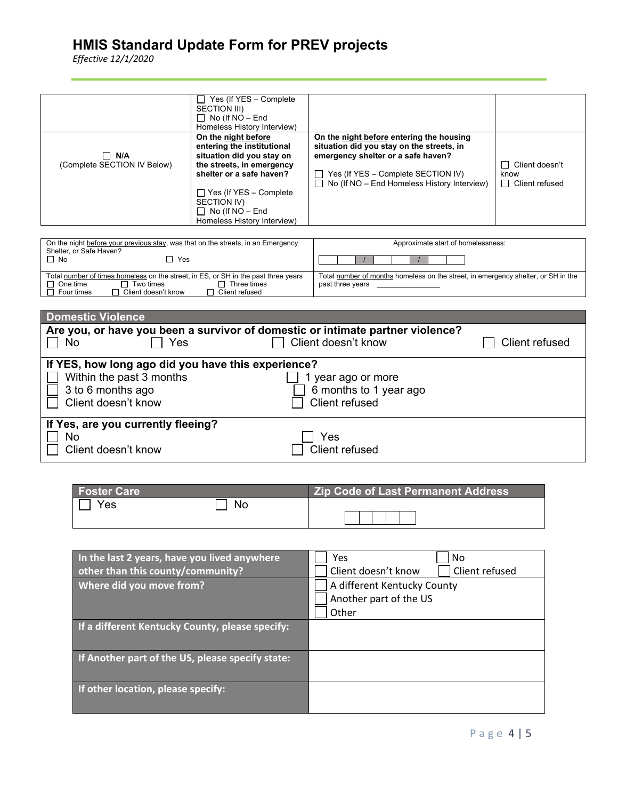*Effective 12/1/2020*

| $\Box$ N/A<br>(Complete SECTION IV Below) | Yes (If YES - Complete<br>$\mathsf{L}$<br>SECTION III)<br>$\Box$ No (If NO – End<br>Homeless History Interview)<br>On the night before<br>entering the institutional<br>situation did you stay on<br>the streets, in emergency<br>shelter or a safe haven?<br>$\Box$ Yes (If YES – Complete<br>SECTION IV)<br>$\Box$ No (If NO – End<br>Homeless History Interview) | On the night before entering the housing<br>situation did you stay on the streets, in<br>emergency shelter or a safe haven?<br>Yes (If YES - Complete SECTION IV)<br>$\Box$ No (If NO – End Homeless History Interview) | □ Client doesn't<br>know<br>$\Box$ Client refused |
|-------------------------------------------|---------------------------------------------------------------------------------------------------------------------------------------------------------------------------------------------------------------------------------------------------------------------------------------------------------------------------------------------------------------------|-------------------------------------------------------------------------------------------------------------------------------------------------------------------------------------------------------------------------|---------------------------------------------------|
|-------------------------------------------|---------------------------------------------------------------------------------------------------------------------------------------------------------------------------------------------------------------------------------------------------------------------------------------------------------------------------------------------------------------------|-------------------------------------------------------------------------------------------------------------------------------------------------------------------------------------------------------------------------|---------------------------------------------------|

| On the night before your previous stay, was that on the streets, in an Emergency<br>Shelter, or Safe Haven?                                                                       | Approximate start of homelessness:                                                                    |
|-----------------------------------------------------------------------------------------------------------------------------------------------------------------------------------|-------------------------------------------------------------------------------------------------------|
| Π No<br>Yes                                                                                                                                                                       |                                                                                                       |
| Total number of times homeless on the street, in ES, or SH in the past three years<br>Two times<br>One time<br>Three times<br>Client doesn't know<br>Client refused<br>Four times | Total number of months homeless on the street, in emergency shelter, or SH in the<br>past three years |

| <b>Domestic Violence</b>                                                       |                        |                |
|--------------------------------------------------------------------------------|------------------------|----------------|
| Are you, or have you been a survivor of domestic or intimate partner violence? |                        |                |
| Yes<br>No                                                                      | Client doesn't know    | Client refused |
|                                                                                |                        |                |
| If YES, how long ago did you have this experience?                             |                        |                |
| Within the past 3 months                                                       | year ago or more       |                |
| 3 to 6 months ago                                                              | 6 months to 1 year ago |                |
| Client doesn't know                                                            | Client refused         |                |
|                                                                                |                        |                |
| If Yes, are you currently fleeing?                                             |                        |                |
| No                                                                             | Yes                    |                |
| Client doesn't know                                                            | Client refused         |                |
|                                                                                |                        |                |

| <b>Foster Care</b> |    | <b>Zip Code of Last Permanent Address</b> |
|--------------------|----|-------------------------------------------|
| Yes                | No |                                           |
|                    |    |                                           |

| In the last 2 years, have you lived anywhere     | Yes<br>No                             |
|--------------------------------------------------|---------------------------------------|
| other than this county/community?                | Client doesn't know<br>Client refused |
| Where did you move from?                         | A different Kentucky County           |
|                                                  | Another part of the US                |
|                                                  | Other                                 |
| If a different Kentucky County, please specify:  |                                       |
| If Another part of the US, please specify state: |                                       |
| If other location, please specify:               |                                       |